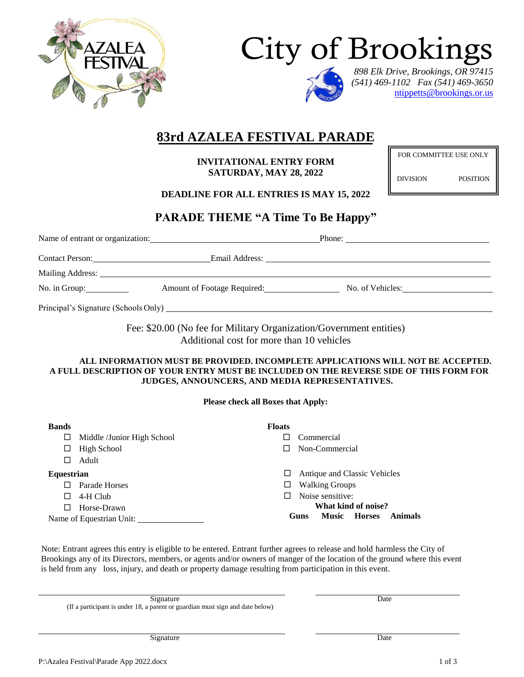





*898 Elk Drive, Brookings, OR 97415 (541) 469-1102 Fax (541) 469-3650* ntippetts@brookings.or.us

# **83rd AZALEA FESTIVAL PARADE**

**INVITATIONAL ENTRY FORM SATURDAY, MAY 28, 2022**

FOR COMMITTEE USE ONLY

DIVISION POSITION

**DEADLINE FOR ALL ENTRIES IS MAY 15, 2022**

# **PARADE THEME "A Time To Be Happy"**

|                                                                                   | Name of entrant or organization: | Phone: $\qquad \qquad$ |  |  |  |  |  |
|-----------------------------------------------------------------------------------|----------------------------------|------------------------|--|--|--|--|--|
| Contact Person:                                                                   |                                  |                        |  |  |  |  |  |
|                                                                                   |                                  |                        |  |  |  |  |  |
| No. in Group: $\frac{1}{\sqrt{1-\frac{1}{2}}\cdot\frac{1}{\sqrt{1-\frac{1}{2}}}}$ | Amount of Footage Required:      | No. of Vehicles:       |  |  |  |  |  |
|                                                                                   |                                  |                        |  |  |  |  |  |

Fee: \$20.00 (No fee for Military Organization/Government entities) Additional cost for more than 10 vehicles

**ALL INFORMATION MUST BE PROVIDED. INCOMPLETE APPLICATIONS WILL NOT BE ACCEPTED. A FULL DESCRIPTION OF YOUR ENTRY MUST BE INCLUDED ON THE REVERSE SIDE OF THIS FORM FOR JUDGES, ANNOUNCERS, AND MEDIA REPRESENTATIVES.**

**Please check all Boxes that Apply:**

| <b>Bands</b> |                            | <b>Floats</b> |                              |                       |               |         |  |
|--------------|----------------------------|---------------|------------------------------|-----------------------|---------------|---------|--|
| Ц            | Middle /Junior High School |               |                              | Commercial            |               |         |  |
| ப            | High School                |               |                              | Non-Commercial        |               |         |  |
| ΙI           | Adult                      |               |                              |                       |               |         |  |
| Equestrian   |                            |               | Antique and Classic Vehicles |                       |               |         |  |
|              | Parade Horses              | ப             |                              | <b>Walking Groups</b> |               |         |  |
| ΙI           | 4-H Club                   |               | Noise sensitive:             |                       |               |         |  |
| $\mathsf{L}$ | Horse-Drawn                |               | What kind of noise?          |                       |               |         |  |
|              | Name of Equestrian Unit:   |               | <b>Guns</b>                  | <b>Music</b>          | <b>Horses</b> | Animals |  |

Note: Entrant agrees this entry is eligible to be entered. Entrant further agrees to release and hold harmless the City of Brookings any of its Directors, members, or agents and/or owners of manger of the location of the ground where this event is held from any loss, injury, and death or property damage resulting from participation in this event.

Signature Date (If a participant is under 18, a parent or guardian must sign and date below)

Signature Date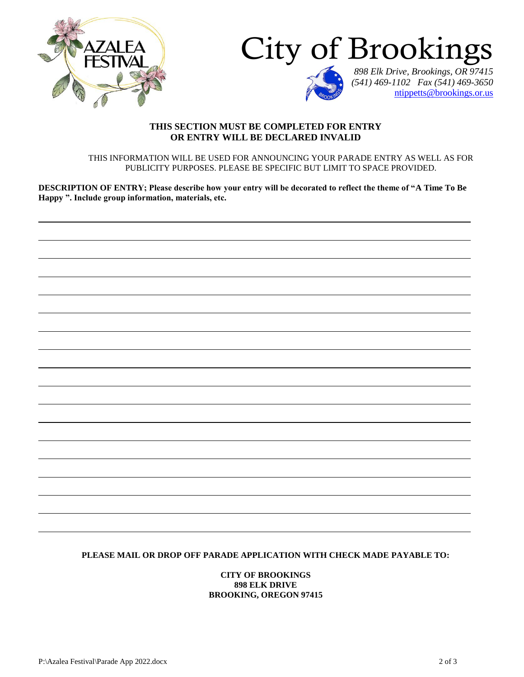



*(541) 469-1102 Fax (541) 469-3650* ntippetts@brookings.or.us

### **THIS SECTION MUST BE COMPLETED FOR ENTRY OR ENTRY WILL BE DECLARED INVALID**

THIS INFORMATION WILL BE USED FOR ANNOUNCING YOUR PARADE ENTRY AS WELL AS FOR PUBLICITY PURPOSES. PLEASE BE SPECIFIC BUT LIMIT TO SPACE PROVIDED.

**DESCRIPTION OF ENTRY; Please describe how your entry will be decorated to reflect the theme of "A Time To Be Happy ". Include group information, materials, etc.**

#### **PLEASE MAIL OR DROP OFF PARADE APPLICATION WITH CHECK MADE PAYABLE TO:**

**CITY OF BROOKINGS 898 ELK DRIVE BROOKING, OREGON 97415**